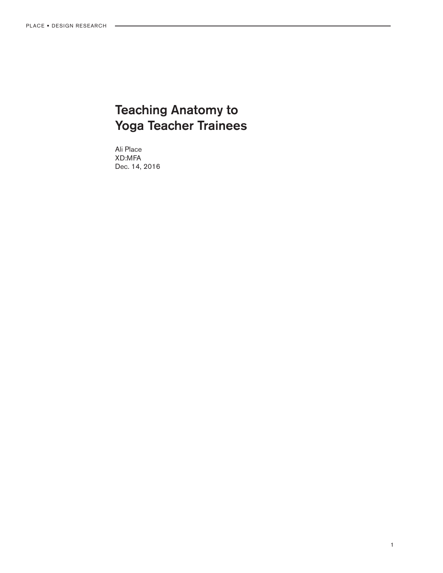# Teaching Anatomy to Yoga Teacher Trainees

Ali Place XD:MFA Dec. 14, 2016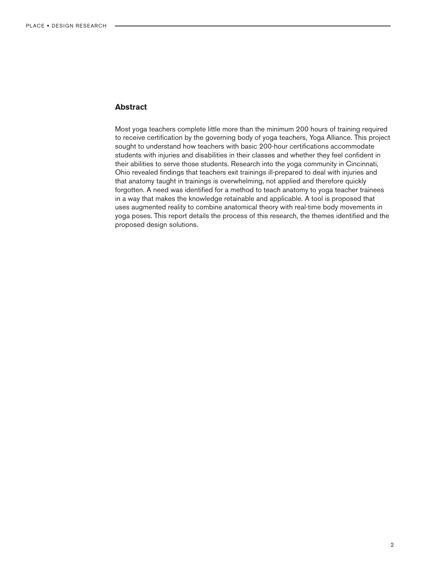# **Abstract**

Most yoga teachers complete little more than the minimum 200 hours of training required to receive certification by the governing body of yoga teachers, Yoga Alliance. This project sought to understand how teachers with basic 200-hour certifications accommodate students with injuries and disabilities in their classes and whether they feel confident in their abilities to serve those students. Research into the yoga community in Cincinnati, Ohio revealed findings that teachers exit trainings ill-prepared to deal with injuries and that anatomy taught in trainings is overwhelming, not applied and therefore quickly forgotten. A need was identified for a method to teach anatomy to yoga teacher trainees in a way that makes the knowledge retainable and applicable. A tool is proposed that uses augmented reality to combine anatomical theory with real-time body movements in yoga poses. This report details the process of this research, the themes identified and the proposed design solutions.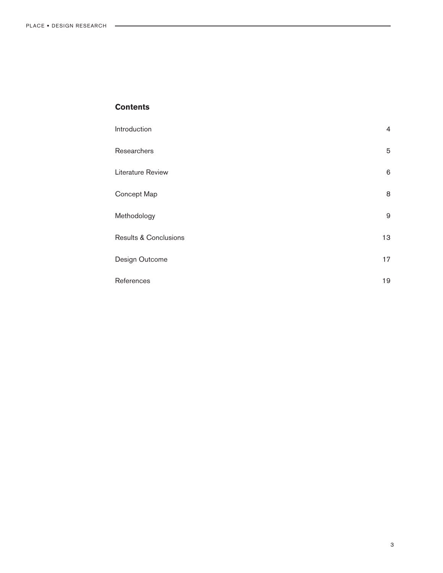# **Contents**

| Introduction                     | 4  |
|----------------------------------|----|
| Researchers                      | 5  |
| Literature Review                | 6  |
| Concept Map                      | 8  |
| Methodology                      | 9  |
| <b>Results &amp; Conclusions</b> | 13 |
| Design Outcome                   | 17 |
| References                       | 19 |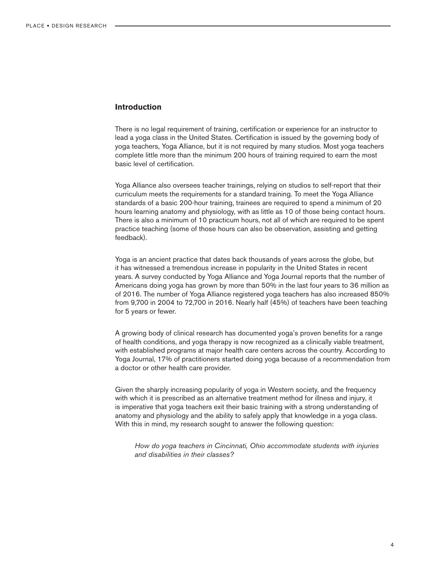# **Introduction**

There is no legal requirement of training, certification or experience for an instructor to lead a yoga class in the United States. Certification is issued by the governing body of yoga teachers, Yoga Alliance, but it is not required by many studios. Most yoga teachers complete little more than the minimum 200 hours of training required to earn the most basic level of certification.

Yoga Alliance also oversees teacher trainings, relying on studios to self-report that their curriculum meets the requirements for a standard training. To meet the Yoga Alliance standards of a basic 200-hour training, trainees are required to spend a minimum of 20 hours learning anatomy and physiology, with as little as 10 of those being contact hours. There is also a minimum of 10 practicum hours, not all of which are required to be spent practice teaching (some of those hours can also be observation, assisting and getting feedback).

Yoga is an ancient practice that dates back thousands of years across the globe, but it has witnessed a tremendous increase in popularity in the United States in recent years. A survey conducted by Yoga Alliance and Yoga Journal reports that the number of Americans doing yoga has grown by more than 50% in the last four years to 36 million as of 2016. The number of Yoga Alliance registered yoga teachers has also increased 850% from 9,700 in 2004 to 72,700 in 2016. Nearly half (45%) of teachers have been teaching for 5 years or fewer.

A growing body of clinical research has documented yoga's proven benefits for a range of health conditions, and yoga therapy is now recognized as a clinically viable treatment, with established programs at major health care centers across the country. According to Yoga Journal, 17% of practitioners started doing yoga because of a recommendation from a doctor or other health care provider.

Given the sharply increasing popularity of yoga in Western society, and the frequency with which it is prescribed as an alternative treatment method for illness and injury, it is imperative that yoga teachers exit their basic training with a strong understanding of anatomy and physiology and the ability to safely apply that knowledge in a yoga class. With this in mind, my research sought to answer the following question:

*How do yoga teachers in Cincinnati, Ohio accommodate students with injuries and disabilities in their classes?*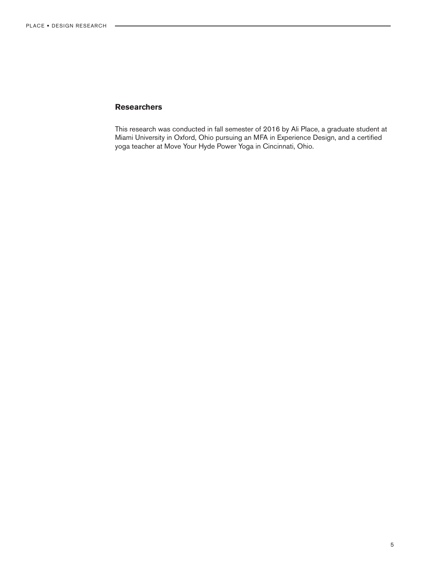# **Researchers**

This research was conducted in fall semester of 2016 by Ali Place, a graduate student at Miami University in Oxford, Ohio pursuing an MFA in Experience Design, and a certified yoga teacher at Move Your Hyde Power Yoga in Cincinnati, Ohio.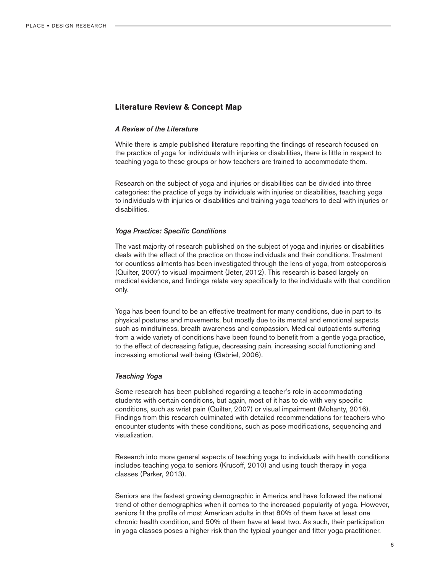# **Literature Review & Concept Map**

## *A Review of the Literature*

While there is ample published literature reporting the findings of research focused on the practice of yoga for individuals with injuries or disabilities, there is little in respect to teaching yoga to these groups or how teachers are trained to accommodate them.

Research on the subject of yoga and injuries or disabilities can be divided into three categories: the practice of yoga by individuals with injuries or disabilities, teaching yoga to individuals with injuries or disabilities and training yoga teachers to deal with injuries or disabilities.

#### *Yoga Practice: Specific Conditions*

The vast majority of research published on the subject of yoga and injuries or disabilities deals with the effect of the practice on those individuals and their conditions. Treatment for countless ailments has been investigated through the lens of yoga, from osteoporosis (Quilter, 2007) to visual impairment (Jeter, 2012). This research is based largely on medical evidence, and findings relate very specifically to the individuals with that condition only.

Yoga has been found to be an effective treatment for many conditions, due in part to its physical postures and movements, but mostly due to its mental and emotional aspects such as mindfulness, breath awareness and compassion. Medical outpatients suffering from a wide variety of conditions have been found to benefit from a gentle yoga practice, to the effect of decreasing fatigue, decreasing pain, increasing social functioning and increasing emotional well-being (Gabriel, 2006).

#### *Teaching Yoga*

Some research has been published regarding a teacher's role in accommodating students with certain conditions, but again, most of it has to do with very specific conditions, such as wrist pain (Quilter, 2007) or visual impairment (Mohanty, 2016). Findings from this research culminated with detailed recommendations for teachers who encounter students with these conditions, such as pose modifications, sequencing and visualization.

Research into more general aspects of teaching yoga to individuals with health conditions includes teaching yoga to seniors (Krucoff, 2010) and using touch therapy in yoga classes (Parker, 2013).

Seniors are the fastest growing demographic in America and have followed the national trend of other demographics when it comes to the increased popularity of yoga. However, seniors fit the profile of most American adults in that 80% of them have at least one chronic health condition, and 50% of them have at least two. As such, their participation in yoga classes poses a higher risk than the typical younger and fitter yoga practitioner.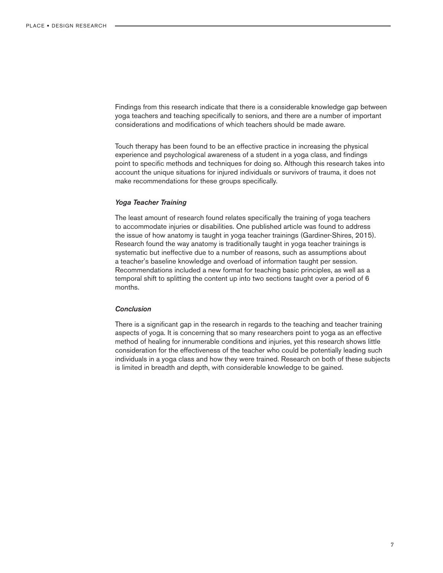Findings from this research indicate that there is a considerable knowledge gap between yoga teachers and teaching specifically to seniors, and there are a number of important considerations and modifications of which teachers should be made aware.

Touch therapy has been found to be an effective practice in increasing the physical experience and psychological awareness of a student in a yoga class, and findings point to specific methods and techniques for doing so. Although this research takes into account the unique situations for injured individuals or survivors of trauma, it does not make recommendations for these groups specifically.

#### *Yoga Teacher Training*

The least amount of research found relates specifically the training of yoga teachers to accommodate injuries or disabilities. One published article was found to address the issue of how anatomy is taught in yoga teacher trainings (Gardiner-Shires, 2015). Research found the way anatomy is traditionally taught in yoga teacher trainings is systematic but ineffective due to a number of reasons, such as assumptions about a teacher's baseline knowledge and overload of information taught per session. Recommendations included a new format for teaching basic principles, as well as a temporal shift to splitting the content up into two sections taught over a period of 6 months.

## *Conclusion*

There is a significant gap in the research in regards to the teaching and teacher training aspects of yoga. It is concerning that so many researchers point to yoga as an effective method of healing for innumerable conditions and injuries, yet this research shows little consideration for the effectiveness of the teacher who could be potentially leading such individuals in a yoga class and how they were trained. Research on both of these subjects is limited in breadth and depth, with considerable knowledge to be gained.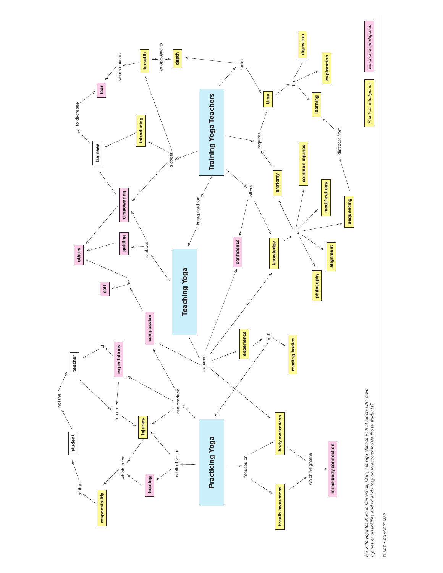

PLACE . CONCEPT MAP PLACE • CONCEPT MAP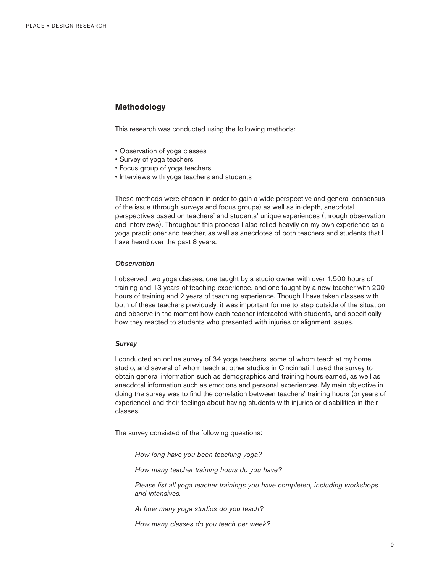# **Methodology**

This research was conducted using the following methods:

- Observation of yoga classes
- Survey of yoga teachers
- Focus group of yoga teachers
- Interviews with yoga teachers and students

These methods were chosen in order to gain a wide perspective and general consensus of the issue (through surveys and focus groups) as well as in-depth, anecdotal perspectives based on teachers' and students' unique experiences (through observation and interviews). Throughout this process I also relied heavily on my own experience as a yoga practitioner and teacher, as well as anecdotes of both teachers and students that I have heard over the past 8 years.

#### *Observation*

I observed two yoga classes, one taught by a studio owner with over 1,500 hours of training and 13 years of teaching experience, and one taught by a new teacher with 200 hours of training and 2 years of teaching experience. Though I have taken classes with both of these teachers previously, it was important for me to step outside of the situation and observe in the moment how each teacher interacted with students, and specifically how they reacted to students who presented with injuries or alignment issues.

#### *Survey*

I conducted an online survey of 34 yoga teachers, some of whom teach at my home studio, and several of whom teach at other studios in Cincinnati. I used the survey to obtain general information such as demographics and training hours earned, as well as anecdotal information such as emotions and personal experiences. My main objective in doing the survey was to find the correlation between teachers' training hours (or years of experience) and their feelings about having students with injuries or disabilities in their classes.

The survey consisted of the following questions:

*How long have you been teaching yoga?*

*How many teacher training hours do you have?*

*Please list all yoga teacher trainings you have completed, including workshops and intensives.*

*At how many yoga studios do you teach?*

*How many classes do you teach per week?*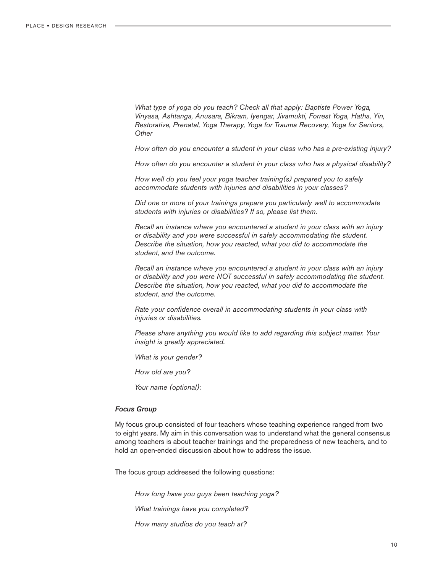*What type of yoga do you teach? Check all that apply: Baptiste Power Yoga, Vinyasa, Ashtanga, Anusara, Bikram, Iyengar, Jivamukti, Forrest Yoga, Hatha, Yin, Restorative, Prenatal, Yoga Therapy, Yoga for Trauma Recovery, Yoga for Seniors, Other*

*How often do you encounter a student in your class who has a pre-existing injury?*

*How often do you encounter a student in your class who has a physical disability?*

*How well do you feel your yoga teacher training(s) prepared you to safely accommodate students with injuries and disabilities in your classes?*

*Did one or more of your trainings prepare you particularly well to accommodate students with injuries or disabilities? If so, please list them.*

*Recall an instance where you encountered a student in your class with an injury or disability and you were successful in safely accommodating the student. Describe the situation, how you reacted, what you did to accommodate the student, and the outcome.*

*Recall an instance where you encountered a student in your class with an injury or disability and you were NOT successful in safely accommodating the student. Describe the situation, how you reacted, what you did to accommodate the student, and the outcome.*

*Rate your confidence overall in accommodating students in your class with injuries or disabilities.*

*Please share anything you would like to add regarding this subject matter. Your insight is greatly appreciated.*

*What is your gender?*

*How old are you?*

*Your name (optional):*

#### *Focus Group*

My focus group consisted of four teachers whose teaching experience ranged from two to eight years. My aim in this conversation was to understand what the general consensus among teachers is about teacher trainings and the preparedness of new teachers, and to hold an open-ended discussion about how to address the issue.

The focus group addressed the following questions:

*How long have you guys been teaching yoga? What trainings have you completed? How many studios do you teach at?*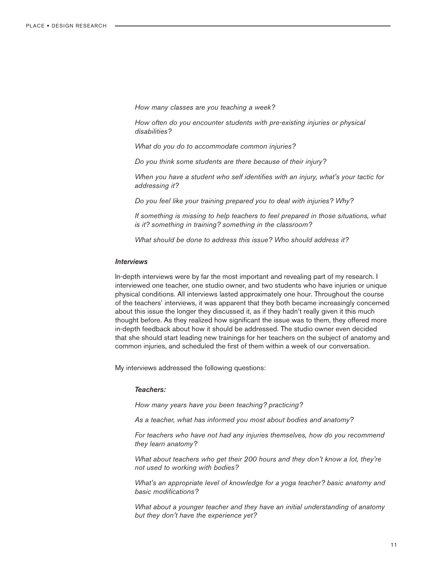*How many classes are you teaching a week?*

*How often do you encounter students with pre-existing injuries or physical disabilities?*

*What do you do to accommodate common injuries?*

*Do you think some students are there because of their injury?*

*When you have a student who self identifies with an injury, what's your tactic for addressing it?* 

*Do you feel like your training prepared you to deal with injuries? Why?*

*If something is missing to help teachers to feel prepared in those situations, what is it? something in training? something in the classroom?*

*What should be done to address this issue? Who should address it?*

### *Interviews*

In-depth interviews were by far the most important and revealing part of my research. I interviewed one teacher, one studio owner, and two students who have injuries or unique physical conditions. All interviews lasted approximately one hour. Throughout the course of the teachers' interviews, it was apparent that they both became increasingly concerned about this issue the longer they discussed it, as if they hadn't really given it this much thought before. As they realized how significant the issue was to them, they offered more in-depth feedback about how it should be addressed. The studio owner even decided that she should start leading new trainings for her teachers on the subject of anatomy and common injuries, and scheduled the first of them within a week of our conversation.

My interviews addressed the following questions:

## *Teachers:*

*How many years have you been teaching? practicing?*

*As a teacher, what has informed you most about bodies and anatomy?*

*For teachers who have not had any injuries themselves, how do you recommend they learn anatomy?* 

*What about teachers who get their 200 hours and they don't know a lot, they're not used to working with bodies?*

*What's an appropriate level of knowledge for a yoga teacher? basic anatomy and basic modifications?*

*What about a younger teacher and they have an initial understanding of anatomy but they don't have the experience yet?*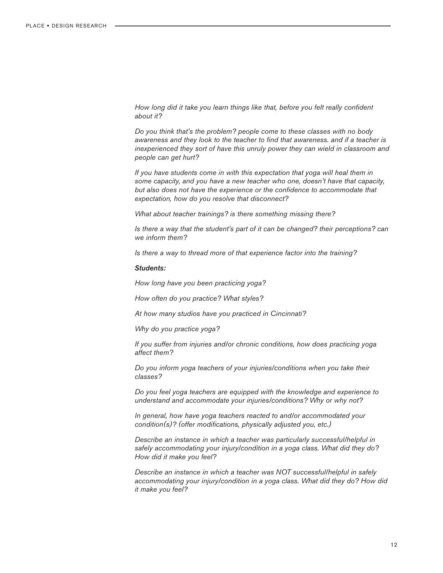*How long did it take you learn things like that, before you felt really confident about it?*

*Do you think that's the problem? people come to these classes with no body awareness and they look to the teacher to find that awareness. and if a teacher is inexperienced they sort of have this unruly power they can wield in classroom and people can get hurt?*

*If you have students come in with this expectation that yoga will heal them in some capacity, and you have a new teacher who one, doesn't have that capacity, but also does not have the experience or the confidence to accommodate that expectation, how do you resolve that disconnect?*

*What about teacher trainings? is there something missing there?*

*Is there a way that the student's part of it can be changed? their perceptions? can we inform them?*

*Is there a way to thread more of that experience factor into the training?*

## *Students:*

*How long have you been practicing yoga?*

*How often do you practice? What styles?*

*At how many studios have you practiced in Cincinnati?*

*Why do you practice yoga?*

*If you suffer from injuries and/or chronic conditions, how does practicing yoga affect them?*

*Do you inform yoga teachers of your injuries/conditions when you take their classes?*

*Do you feel yoga teachers are equipped with the knowledge and experience to understand and accommodate your injuries/conditions? Why or why not?*

*In general, how have yoga teachers reacted to and/or accommodated your condition(s)? (offer modifications, physically adjusted you, etc.)*

*Describe an instance in which a teacher was particularly successful/helpful in safely accommodating your injury/condition in a yoga class. What did they do? How did it make you feel?*

*Describe an instance in which a teacher was NOT successful/helpful in safely accommodating your injury/condition in a yoga class. What did they do? How did it make you feel?*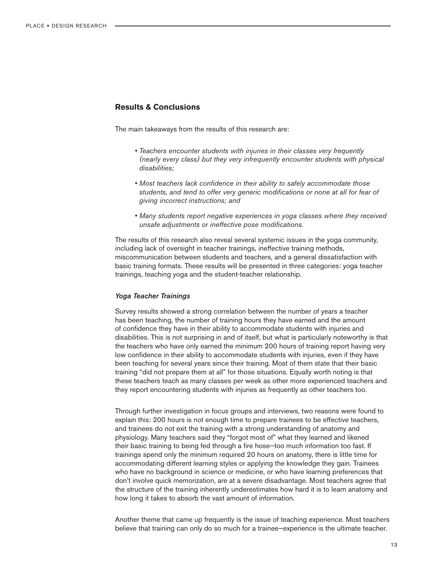# **Results & Conclusions**

The main takeaways from the results of this research are:

- *Teachers encounter students with injuries in their classes very frequently (nearly every class) but they very infrequently encounter students with physical disabilities;*
- *Most teachers lack confidence in their ability to safely accommodate those students, and tend to offer very generic modifications or none at all for fear of giving incorrect instructions; and*
- *Many students report negative experiences in yoga classes where they received unsafe adjustments or ineffective pose modifications.*

The results of this research also reveal several systemic issues in the yoga community, including lack of oversight in teacher trainings, ineffective training methods, miscommunication between students and teachers, and a general dissatisfaction with basic training formats. These results will be presented in three categories: yoga teacher trainings, teaching yoga and the student-teacher relationship.

#### *Yoga Teacher Trainings*

Survey results showed a strong correlation between the number of years a teacher has been teaching, the number of training hours they have earned and the amount of confidence they have in their ability to accommodate students with injuries and disabilities. This is not surprising in and of itself, but what is particularly noteworthy is that the teachers who have only earned the minimum 200 hours of training report having very low confidence in their ability to accommodate students with injuries, even if they have been teaching for several years since their training. Most of them state that their basic training "did not prepare them at all" for those situations. Equally worth noting is that these teachers teach as many classes per week as other more experienced teachers and they report encountering students with injuries as frequently as other teachers too.

Through further investigation in focus groups and interviews, two reasons were found to explain this: 200 hours is not enough time to prepare trainees to be effective teachers, and trainees do not exit the training with a strong understanding of anatomy and physiology. Many teachers said they "forgot most of" what they learned and likened their basic training to being fed through a fire hose—too much information too fast. If trainings spend only the minimum required 20 hours on anatomy, there is little time for accommodating different learning styles or applying the knowledge they gain. Trainees who have no background in science or medicine, or who have learning preferences that don't involve quick memorization, are at a severe disadvantage. Most teachers agree that the structure of the training inherently underestimates how hard it is to learn anatomy and how long it takes to absorb the vast amount of information.

Another theme that came up frequently is the issue of teaching experience. Most teachers believe that training can only do so much for a trainee—experience is the ultimate teacher.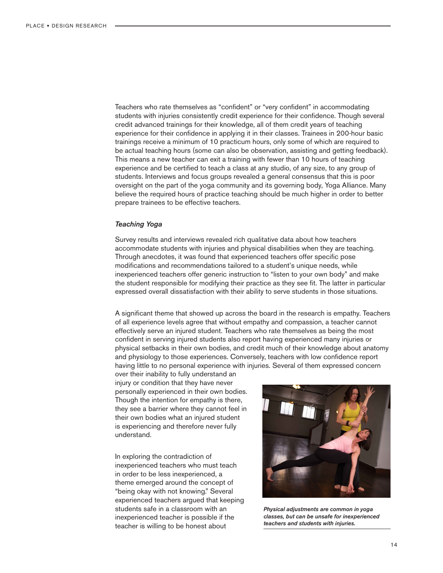Teachers who rate themselves as "confident" or "very confident" in accommodating students with injuries consistently credit experience for their confidence. Though several credit advanced trainings for their knowledge, all of them credit years of teaching experience for their confidence in applying it in their classes. Trainees in 200-hour basic trainings receive a minimum of 10 practicum hours, only some of which are required to be actual teaching hours (some can also be observation, assisting and getting feedback). This means a new teacher can exit a training with fewer than 10 hours of teaching experience and be certified to teach a class at any studio, of any size, to any group of students. Interviews and focus groups revealed a general consensus that this is poor oversight on the part of the yoga community and its governing body, Yoga Alliance. Many believe the required hours of practice teaching should be much higher in order to better prepare trainees to be effective teachers.

#### *Teaching Yoga*

Survey results and interviews revealed rich qualitative data about how teachers accommodate students with injuries and physical disabilities when they are teaching. Through anecdotes, it was found that experienced teachers offer specific pose modifications and recommendations tailored to a student's unique needs, while inexperienced teachers offer generic instruction to "listen to your own body" and make the student responsible for modifying their practice as they see fit. The latter in particular expressed overall dissatisfaction with their ability to serve students in those situations.

A significant theme that showed up across the board in the research is empathy. Teachers of all experience levels agree that without empathy and compassion, a teacher cannot effectively serve an injured student. Teachers who rate themselves as being the most confident in serving injured students also report having experienced many injuries or physical setbacks in their own bodies, and credit much of their knowledge about anatomy and physiology to those experiences. Conversely, teachers with low confidence report having little to no personal experience with injuries. Several of them expressed concern

over their inability to fully understand an injury or condition that they have never personally experienced in their own bodies. Though the intention for empathy is there, they see a barrier where they cannot feel in their own bodies what an injured student is experiencing and therefore never fully understand.

In exploring the contradiction of inexperienced teachers who must teach in order to be less inexperienced, a theme emerged around the concept of "being okay with not knowing." Several experienced teachers argued that keeping students safe in a classroom with an inexperienced teacher is possible if the teacher is willing to be honest about



*Physical adjustments are common in yoga classes, but can be unsafe for inexperienced teachers and students with injuries.*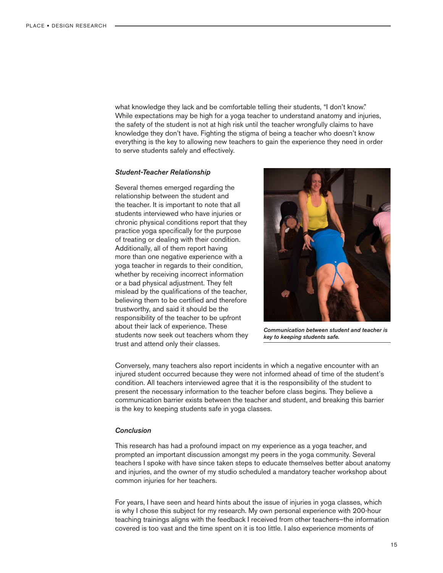what knowledge they lack and be comfortable telling their students, "I don't know." While expectations may be high for a yoga teacher to understand anatomy and injuries, the safety of the student is not at high risk until the teacher wrongfully claims to have knowledge they don't have. Fighting the stigma of being a teacher who doesn't know everything is the key to allowing new teachers to gain the experience they need in order to serve students safely and effectively.

#### *Student-Teacher Relationship*

Several themes emerged regarding the relationship between the student and the teacher. It is important to note that all students interviewed who have injuries or chronic physical conditions report that they practice yoga specifically for the purpose of treating or dealing with their condition. Additionally, all of them report having more than one negative experience with a yoga teacher in regards to their condition, whether by receiving incorrect information or a bad physical adjustment. They felt mislead by the qualifications of the teacher, believing them to be certified and therefore trustworthy, and said it should be the responsibility of the teacher to be upfront about their lack of experience. These students now seek out teachers whom they trust and attend only their classes.



*Communication between student and teacher is key to keeping students safe.*

Conversely, many teachers also report incidents in which a negative encounter with an injured student occurred because they were not informed ahead of time of the student's condition. All teachers interviewed agree that it is the responsibility of the student to present the necessary information to the teacher before class begins. They believe a communication barrier exists between the teacher and student, and breaking this barrier is the key to keeping students safe in yoga classes.

## *Conclusion*

This research has had a profound impact on my experience as a yoga teacher, and prompted an important discussion amongst my peers in the yoga community. Several teachers I spoke with have since taken steps to educate themselves better about anatomy and injuries, and the owner of my studio scheduled a mandatory teacher workshop about common injuries for her teachers.

For years, I have seen and heard hints about the issue of injuries in yoga classes, which is why I chose this subject for my research. My own personal experience with 200-hour teaching trainings aligns with the feedback I received from other teachers—the information covered is too vast and the time spent on it is too little. I also experience moments of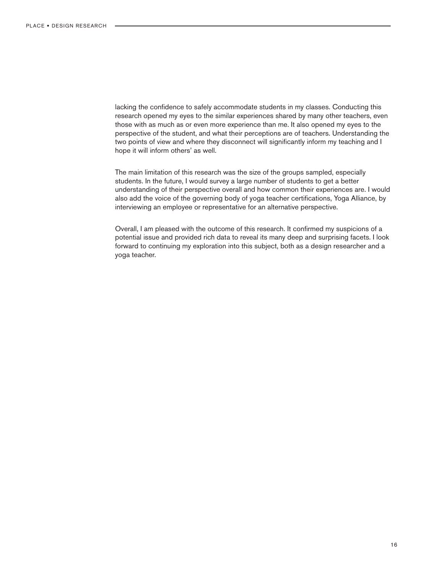lacking the confidence to safely accommodate students in my classes. Conducting this research opened my eyes to the similar experiences shared by many other teachers, even those with as much as or even more experience than me. It also opened my eyes to the perspective of the student, and what their perceptions are of teachers. Understanding the two points of view and where they disconnect will significantly inform my teaching and I hope it will inform others' as well.

The main limitation of this research was the size of the groups sampled, especially students. In the future, I would survey a large number of students to get a better understanding of their perspective overall and how common their experiences are. I would also add the voice of the governing body of yoga teacher certifications, Yoga Alliance, by interviewing an employee or representative for an alternative perspective.

Overall, I am pleased with the outcome of this research. It confirmed my suspicions of a potential issue and provided rich data to reveal its many deep and surprising facets. I look forward to continuing my exploration into this subject, both as a design researcher and a yoga teacher.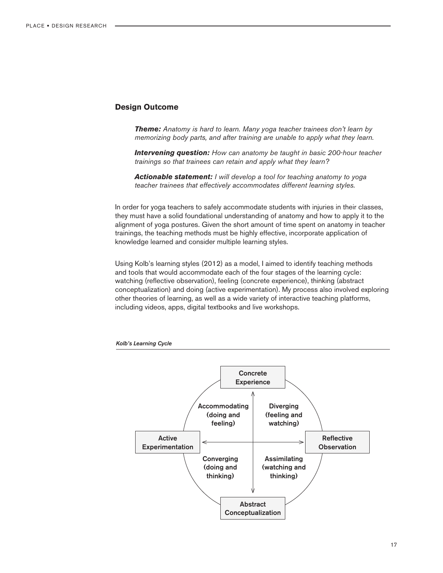## **Design Outcome**

*Theme: Anatomy is hard to learn. Many yoga teacher trainees don't learn by memorizing body parts, and after training are unable to apply what they learn.*

*Intervening question: How can anatomy be taught in basic 200-hour teacher trainings so that trainees can retain and apply what they learn?* 

*Actionable statement: I will develop a tool for teaching anatomy to yoga teacher trainees that effectively accommodates different learning styles.*

In order for yoga teachers to safely accommodate students with injuries in their classes, they must have a solid foundational understanding of anatomy and how to apply it to the alignment of yoga postures. Given the short amount of time spent on anatomy in teacher trainings, the teaching methods must be highly effective, incorporate application of knowledge learned and consider multiple learning styles.

Using Kolb's learning styles (2012) as a model, I aimed to identify teaching methods and tools that would accommodate each of the four stages of the learning cycle: watching (reflective observation), feeling (concrete experience), thinking (abstract conceptualization) and doing (active experimentation). My process also involved exploring other theories of learning, as well as a wide variety of interactive teaching platforms, including videos, apps, digital textbooks and live workshops.



*Kolb's Learning Cycle*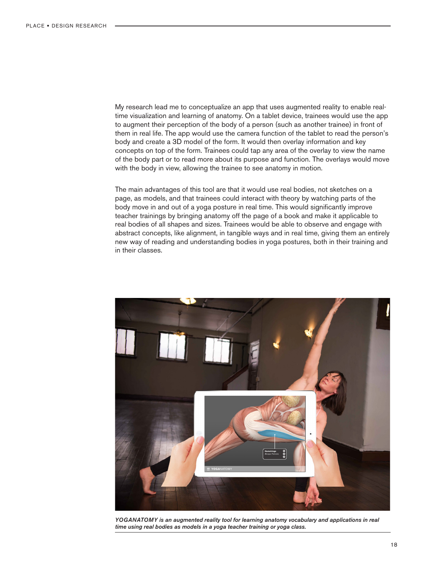My research lead me to conceptualize an app that uses augmented reality to enable realtime visualization and learning of anatomy. On a tablet device, trainees would use the app to augment their perception of the body of a person (such as another trainee) in front of them in real life. The app would use the camera function of the tablet to read the person's body and create a 3D model of the form. It would then overlay information and key concepts on top of the form. Trainees could tap any area of the overlay to view the name of the body part or to read more about its purpose and function. The overlays would move with the body in view, allowing the trainee to see anatomy in motion.

The main advantages of this tool are that it would use real bodies, not sketches on a page, as models, and that trainees could interact with theory by watching parts of the body move in and out of a yoga posture in real time. This would significantly improve teacher trainings by bringing anatomy off the page of a book and make it applicable to real bodies of all shapes and sizes. Trainees would be able to observe and engage with abstract concepts, like alignment, in tangible ways and in real time, giving them an entirely new way of reading and understanding bodies in yoga postures, both in their training and in their classes.



*YOGANATOMY is an augmented reality tool for learning anatomy vocabulary and applications in real time using real bodies as models in a yoga teacher training or yoga class.*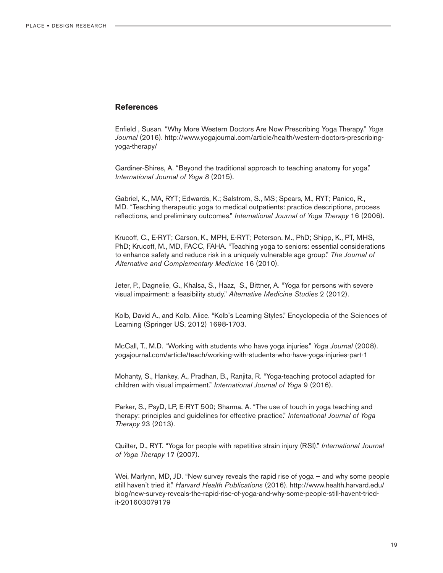## **References**

Enfield , Susan. "Why More Western Doctors Are Now Prescribing Yoga Therapy." *Yoga Journal* (2016). http://www.yogajournal.com/article/health/western-doctors-prescribingyoga-therapy/

Gardiner-Shires, A. "Beyond the traditional approach to teaching anatomy for yoga." *International Journal of Yoga 8* (2015).

Gabriel, K., MA, RYT; Edwards, K.; Salstrom, S., MS; Spears, M., RYT; Panico, R., MD. "Teaching therapeutic yoga to medical outpatients: practice descriptions, process reflections, and preliminary outcomes." *International Journal of Yoga Therapy* 16 (2006).

Krucoff, C., E-RYT; Carson, K., MPH, E-RYT; Peterson, M., PhD; Shipp, K., PT, MHS, PhD; Krucoff, M., MD, FACC, FAHA. "Teaching yoga to seniors: essential considerations to enhance safety and reduce risk in a uniquely vulnerable age group." *The Journal of Alternative and Complementary Medicine* 16 (2010).

Jeter, P., Dagnelie, G., Khalsa, S., Haaz, S., Bittner, A. "Yoga for persons with severe visual impairment: a feasibility study." *Alternative Medicine Studies* 2 (2012).

Kolb, David A., and Kolb, Alice. "Kolb's Learning Styles." Encyclopedia of the Sciences of Learning (Springer US, 2012) 1698-1703.

McCall, T., M.D. "Working with students who have yoga injuries." *Yoga Journal* (2008). yogajournal.com/article/teach/working-with-students-who-have-yoga-injuries-part-1

Mohanty, S., Hankey, A., Pradhan, B., Ranjita, R. "Yoga-teaching protocol adapted for children with visual impairment." *International Journal of Yoga* 9 (2016).

Parker, S., PsyD, LP, E-RYT 500; Sharma, A. "The use of touch in yoga teaching and therapy: principles and guidelines for effective practice." *International Journal of Yoga Therapy* 23 (2013).

Quilter, D., RYT. "Yoga for people with repetitive strain injury (RSI)." *International Journal of Yoga Therapy* 17 (2007).

Wei, Marlynn, MD, JD. "New survey reveals the rapid rise of yoga — and why some people still haven't tried it." *Harvard Health Publications* (2016). http://www.health.harvard.edu/ blog/new-survey-reveals-the-rapid-rise-of-yoga-and-why-some-people-still-havent-triedit-201603079179